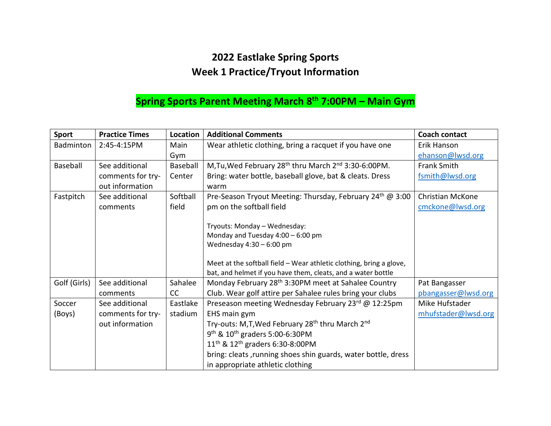## **2022 Eastlake Spring Sports Week 1 Practice/Tryout Information**

## **Spring Sports Parent Meeting March 8th 7:00PM – Main Gym**

| <b>Sport</b> | <b>Practice Times</b> | Location | <b>Additional Comments</b>                                                   | <b>Coach contact</b> |
|--------------|-----------------------|----------|------------------------------------------------------------------------------|----------------------|
| Badminton    | 2:45-4:15PM           | Main     | Wear athletic clothing, bring a racquet if you have one                      | Erik Hanson          |
|              |                       | Gym      |                                                                              | ehanson@lwsd.org     |
| Baseball     | See additional        | Baseball | M, Tu, Wed February 28 <sup>th</sup> thru March 2 <sup>nd</sup> 3:30-6:00PM. | <b>Frank Smith</b>   |
|              | comments for try-     | Center   | Bring: water bottle, baseball glove, bat & cleats. Dress                     | fsmith@lwsd.org      |
|              | out information       |          | warm                                                                         |                      |
| Fastpitch    | See additional        | Softball | Pre-Season Tryout Meeting: Thursday, February 24th @ 3:00                    | Christian McKone     |
|              | comments              | field    | pm on the softball field                                                     | cmckone@lwsd.org     |
|              |                       |          |                                                                              |                      |
|              |                       |          | Tryouts: Monday - Wednesday:                                                 |                      |
|              |                       |          | Monday and Tuesday 4:00 - 6:00 pm                                            |                      |
|              |                       |          | Wednesday $4:30 - 6:00$ pm                                                   |                      |
|              |                       |          |                                                                              |                      |
|              |                       |          | Meet at the softball field - Wear athletic clothing, bring a glove,          |                      |
|              |                       |          | bat, and helmet if you have them, cleats, and a water bottle                 |                      |
| Golf (Girls) | See additional        | Sahalee  | Monday February 28 <sup>th</sup> 3:30PM meet at Sahalee Country              | Pat Bangasser        |
|              | comments              | cc       | Club. Wear golf attire per Sahalee rules bring your clubs                    | pbangasser@lwsd.org  |
| Soccer       | See additional        | Eastlake | Preseason meeting Wednesday February 23rd @ 12:25pm                          | Mike Hufstader       |
| (Boys)       | comments for try-     | stadium  | EHS main gym                                                                 | mhufstader@lwsd.org  |
|              | out information       |          | Try-outs: M,T, Wed February 28 <sup>th</sup> thru March 2 <sup>nd</sup>      |                      |
|              |                       |          | $9^{th}$ & $10^{th}$ graders 5:00-6:30PM                                     |                      |
|              |                       |          | $11^{th}$ & $12^{th}$ graders 6:30-8:00PM                                    |                      |
|              |                       |          | bring: cleats, running shoes shin guards, water bottle, dress                |                      |
|              |                       |          | in appropriate athletic clothing                                             |                      |